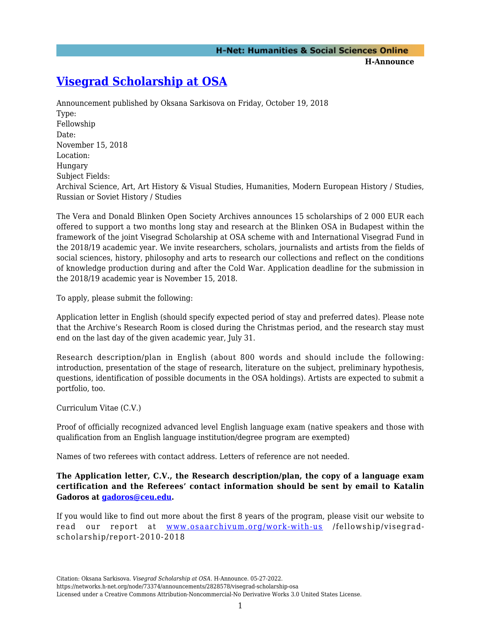**H-Announce** 

## **[Visegrad Scholarship at OSA](https://networks.h-net.org/node/73374/announcements/2828578/visegrad-scholarship-osa)**

Announcement published by Oksana Sarkisova on Friday, October 19, 2018 Type: Fellowship Date: November 15, 2018 Location: Hungary Subject Fields: Archival Science, Art, Art History & Visual Studies, Humanities, Modern European History / Studies, Russian or Soviet History / Studies

The Vera and Donald Blinken Open Society Archives announces 15 scholarships of 2 000 EUR each offered to support a two months long stay and research at the Blinken OSA in Budapest within the framework of the joint Visegrad Scholarship at OSA scheme with and International Visegrad Fund in the 2018/19 academic year. We invite researchers, scholars, journalists and artists from the fields of social sciences, history, philosophy and arts to research our collections and reflect on the conditions of knowledge production during and after the Cold War. Application deadline for the submission in the 2018/19 academic year is November 15, 2018.

To apply, please submit the following:

Application letter in English (should specify expected period of stay and preferred dates). Please note that the Archive's Research Room is closed during the Christmas period, and the research stay must end on the last day of the given academic year, July 31.

Research description/plan in English (about 800 words and should include the following: introduction, presentation of the stage of research, literature on the subject, preliminary hypothesis, questions, identification of possible documents in the OSA holdings). Artists are expected to submit a portfolio, too.

Curriculum Vitae (C.V.)

Proof of officially recognized advanced level English language exam (native speakers and those with qualification from an English language institution/degree program are exempted)

Names of two referees with contact address. Letters of reference are not needed.

**The Application letter, C.V., the Research description/plan, the copy of a language exam certification and the Referees' contact information should be sent by email to Katalin Gadoros at [gadoros@ceu.edu](mailto:gadoros@ceu.edu).**

If you would like to find out more about the first 8 years of the program, please visit our website to read our report at [www.osaarchivum.org/work-with-us](http://www.osaarchivum.org/work-with-us) /fellowship/visegradscholarship/report-2010-2018